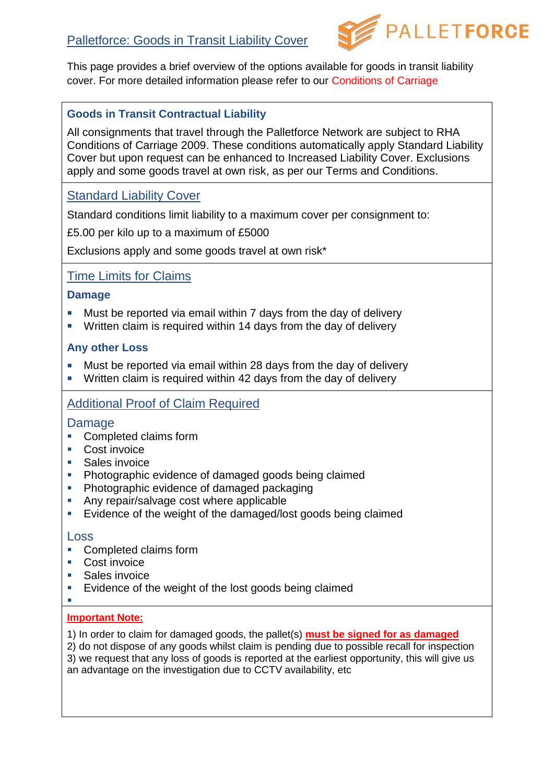

This page provides a brief overview of the options available for goods in transit liability cover. For more detailed information please refer to our Conditions of Carriage

## **Goods in Transit Contractual Liability**

All consignments that travel through the Palletforce Network are subject to RHA Conditions of Carriage 2009. These conditions automatically apply Standard Liability Cover but upon request can be enhanced to Increased Liability Cover. Exclusions apply and some goods travel at own risk, as per our Terms and Conditions.

# Standard Liability Cover

Standard conditions limit liability to a maximum cover per consignment to:

£5.00 per kilo up to a maximum of £5000

Exclusions apply and some goods travel at own risk\*

## Time Limits for Claims

#### **Damage**

- **Must be reported via email within 7 days from the day of delivery**
- **Written claim is required within 14 days from the day of delivery**

### **Any other Loss**

- **Must be reported via email within 28 days from the day of delivery**
- **Written claim is required within 42 days from the day of delivery**

# Additional Proof of Claim Required

### Damage

- Completed claims form
- Cost invoice
- **Sales invoice**
- **Photographic evidence of damaged goods being claimed**
- **Photographic evidence of damaged packaging**
- Any repair/salvage cost where applicable
- Evidence of the weight of the damaged/lost goods being claimed

#### Loss

- Completed claims form
- **Cost invoice**
- **Sales invoice**
- **Exidence of the weight of the lost goods being claimed**
- Ī.

### **Important Note:**

1) In order to claim for damaged goods, the pallet(s) **must be signed for as damaged**

2) do not dispose of any goods whilst claim is pending due to possible recall for inspection 3) we request that any loss of goods is reported at the earliest opportunity, this will give us an advantage on the investigation due to CCTV availability, etc